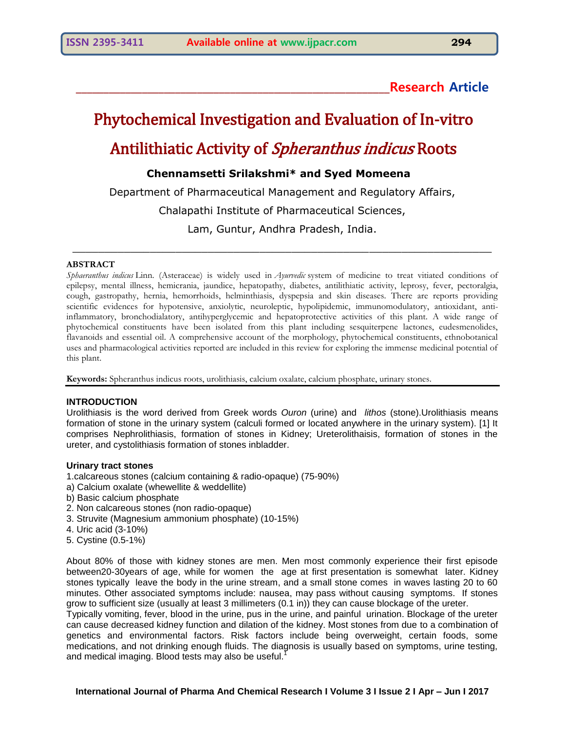## **\_\_\_\_\_\_\_\_\_\_\_\_\_\_\_\_\_\_\_\_\_\_\_\_\_\_\_\_\_\_\_\_\_\_\_\_\_\_\_\_\_\_\_\_\_\_\_\_\_\_\_\_\_\_\_\_\_Research Article**

# Phytochemical Investigation and Evaluation of In-vitro Antilithiatic Activity of Spheranthus indicus Roots

## **Chennamsetti Srilakshmi\* and Syed Momeena**

Department of Pharmaceutical Management and Regulatory Affairs,

Chalapathi Institute of Pharmaceutical Sciences,

Lam, Guntur, Andhra Pradesh, India.

\_\_\_\_\_\_\_\_\_\_\_\_\_\_\_\_\_\_\_\_\_\_\_\_\_\_\_\_\_\_\_\_\_\_\_\_\_\_\_\_\_\_\_\_\_\_\_\_\_\_\_\_\_\_\_\_\_\_\_\_\_\_\_\_\_

#### **ABSTRACT**

*Sphaeranthus indicus* Linn. (Asteraceae) is widely used in *Ayurvedic* system of medicine to treat vitiated conditions of epilepsy, mental illness, hemicrania, jaundice, hepatopathy, diabetes, antilithiatic activity, leprosy, fever, pectoralgia, cough, gastropathy, hernia, hemorrhoids, helminthiasis, dyspepsia and skin diseases. There are reports providing scientific evidences for hypotensive, anxiolytic, neuroleptic, hypolipidemic, immunomodulatory, antioxidant, antiinflammatory, bronchodialatory, antihyperglycemic and hepatoprotective activities of this plant. A wide range of phytochemical constituents have been isolated from this plant including sesquiterpene lactones, eudesmenolides, flavanoids and essential oil. A comprehensive account of the morphology, phytochemical constituents, ethnobotanical uses and pharmacological activities reported are included in this review for exploring the immense medicinal potential of this plant.

**Keywords:** Spheranthus indicus roots, urolithiasis, calcium oxalate, calcium phosphate, urinary stones.

#### **INTRODUCTION**

Urolithiasis is the word derived from Greek words *Ouron* (urine) and *lithos* (stone).Urolithiasis means formation of stone in the urinary system (calculi formed or located anywhere in the urinary system). [1] It comprises Nephrolithiasis, formation of stones in Kidney; Ureterolithaisis, formation of stones in the ureter, and cystolithiasis formation of stones inbladder.

#### **Urinary tract stones**

1.calcareous stones (calcium containing & radio-opaque) (75-90%)

- a) Calcium oxalate (whewellite & weddellite)
- b) Basic calcium phosphate
- 2. Non calcareous stones (non radio-opaque)
- 3. Struvite (Magnesium ammonium phosphate) (10-15%)
- 4. Uric acid (3-10%)
- 5. Cystine (0.5-1%)

About 80% of those with kidney stones are men. Men most commonly experience their first episode between20-30years of age, while for women the age at first presentation is somewhat later. Kidney stones typically leave the body in the urine stream, and a small stone comes in waves lasting 20 to 60 minutes. Other associated symptoms include: nausea, may pass without causing symptoms. If stones grow to sufficient size (usually at least 3 millimeters (0.1 in)) they can cause blockage of the ureter.

Typically vomiting, fever, blood in the urine, pus in the urine, and painful urination. Blockage of the ureter can cause decreased kidney function and dilation of the kidney. Most stones from due to a combination of genetics and environmental factors. Risk factors include being overweight, certain foods, some medications, and not drinking enough fluids. The diagnosis is usually based on symptoms, urine testing, and medical imaging. Blood tests may also be useful.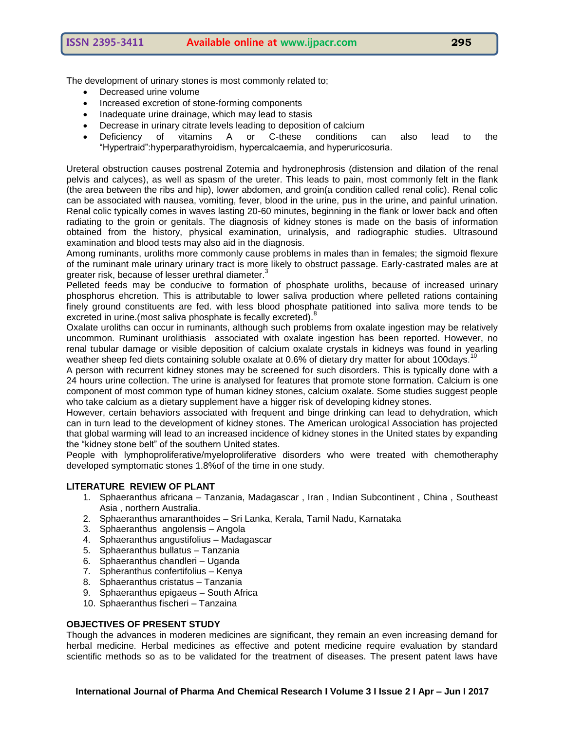The development of urinary stones is most commonly related to;

- Decreased urine volume
- Increased excretion of stone-forming components
- Inadequate urine drainage, which may lead to stasis
- Decrease in urinary citrate levels leading to deposition of calcium
- Deficiency of vitamins A or C-these conditions can also lead to the ―Hypertraid‖:hyperparathyroidism, hypercalcaemia, and hyperuricosuria.

Ureteral obstruction causes postrenal Zotemia and hydronephrosis (distension and dilation of the renal pelvis and calyces), as well as spasm of the ureter. This leads to pain, most commonly felt in the flank (the area between the ribs and hip), lower abdomen, and groin(a condition called renal colic). Renal colic can be associated with nausea, vomiting, fever, blood in the urine, pus in the urine, and painful urination. Renal colic typically comes in waves lasting 20-60 minutes, beginning in the flank or lower back and often radiating to the groin or genitals. The diagnosis of kidney stones is made on the basis of information obtained from the history, physical examination, urinalysis, and radiographic studies. Ultrasound examination and blood tests may also aid in the diagnosis.

Among ruminants, uroliths more commonly cause problems in males than in females; the sigmoid flexure of the ruminant male urinary urinary tract is more likely to obstruct passage. Early-castrated males are at greater risk, because of lesser urethral diameter.<sup>3</sup>

Pelleted feeds may be conducive to formation of phosphate uroliths, because of increased urinary phosphorus ehcretion. This is attributable to lower saliva production where pelleted rations containing finely ground constituents are fed. with less blood phosphate patitioned into saliva more tends to be excreted in urine. (most saliva phosphate is fecally excreted).<sup>8</sup>

Oxalate uroliths can occur in ruminants, although such problems from oxalate ingestion may be relatively uncommon. Ruminant urolithiasis associated with oxalate ingestion has been reported. However, no renal tubular damage or visible deposition of calcium oxalate crystals in kidneys was found in yearling weather sheep fed diets containing soluble oxalate at 0.6% of dietary dry matter for about 100days.<sup>10</sup>

A person with recurrent kidney stones may be screened for such disorders. This is typically done with a 24 hours urine collection. The urine is analysed for features that promote stone formation. Calcium is one component of most common type of human kidney stones, calcium oxalate. Some studies suggest people who take calcium as a dietary supplement have a higger risk of developing kidney stones.

However, certain behaviors associated with frequent and binge drinking can lead to dehydration, which can in turn lead to the development of kidney stones. The American urological Association has projected that global warming will lead to an increased incidence of kidney stones in the United states by expanding the "kidney stone belt" of the southern United states.

People with lymphoproliferative/myeloproliferative disorders who were treated with chemotheraphy developed symptomatic stones 1.8%of of the time in one study.

#### **LITERATURE REVIEW OF PLANT**

- 1. Sphaeranthus africana Tanzania, Madagascar , Iran , Indian Subcontinent , China , Southeast Asia , northern Australia.
- 2. Sphaeranthus amaranthoides Sri Lanka, Kerala, Tamil Nadu, Karnataka
- 3. Sphaeranthus angolensis Angola
- 4. Sphaeranthus angustifolius Madagascar
- 5. Sphaeranthus bullatus Tanzania
- 6. Sphaeranthus chandleri Uganda
- 7. Spheranthus confertifolius Kenya
- 8. Sphaeranthus cristatus Tanzania
- 9. Sphaeranthus epigaeus South Africa
- 10. Sphaeranthus fischeri Tanzaina

#### **OBJECTIVES OF PRESENT STUDY**

Though the advances in moderen medicines are significant, they remain an even increasing demand for herbal medicine. Herbal medicines as effective and potent medicine require evaluation by standard scientific methods so as to be validated for the treatment of diseases. The present patent laws have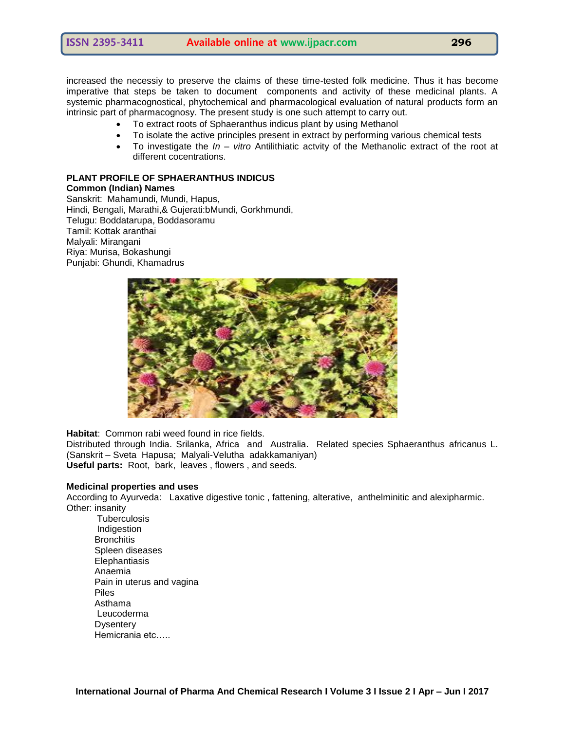increased the necessiy to preserve the claims of these time-tested folk medicine. Thus it has become imperative that steps be taken to document components and activity of these medicinal plants. A systemic pharmacognostical, phytochemical and pharmacological evaluation of natural products form an intrinsic part of pharmacognosy. The present study is one such attempt to carry out.

- To extract roots of Sphaeranthus indicus plant by using Methanol
- To isolate the active principles present in extract by performing various chemical tests
- To investigate the *In – vitro* Antilithiatic actvity of the Methanolic extract of the root at different cocentrations.

#### **PLANT PROFILE OF SPHAERANTHUS INDICUS Common (Indian) Names**

Sanskrit: Mahamundi, Mundi, Hapus, Hindi, Bengali, Marathi,& Gujerati:bMundi, Gorkhmundi, Telugu: Boddatarupa, Boddasoramu Tamil: Kottak aranthai Malyali: Mirangani Riya: Murisa, Bokashungi Punjabi: Ghundi, Khamadrus



**Habitat**: Common rabi weed found in rice fields.

Distributed through India. Srilanka, Africa and Australia. Related species Sphaeranthus africanus L. (Sanskrit – Sveta Hapusa; Malyali-Velutha adakkamaniyan) **Useful parts:** Root, bark, leaves , flowers , and seeds.

#### **Medicinal properties and uses**

According to Ayurveda: Laxative digestive tonic , fattening, alterative, anthelminitic and alexipharmic. Other: insanity

**Tuberculosis**  Indigestion **Bronchitis**  Spleen diseases **Elephantiasis**  Anaemia Pain in uterus and vagina Piles Asthama Leucoderma **Dysentery** Hemicrania etc…..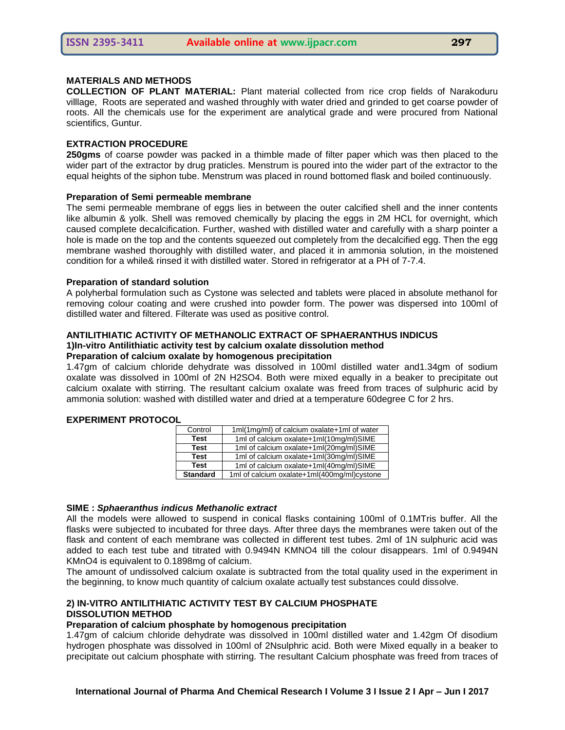#### **MATERIALS AND METHODS**

**COLLECTION OF PLANT MATERIAL:** Plant material collected from rice crop fields of Narakoduru villlage, Roots are seperated and washed throughly with water dried and grinded to get coarse powder of roots. All the chemicals use for the experiment are analytical grade and were procured from National scientifics, Guntur.

#### **EXTRACTION PROCEDURE**

**250gms** of coarse powder was packed in a thimble made of filter paper which was then placed to the wider part of the extractor by drug praticles. Menstrum is poured into the wider part of the extractor to the equal heights of the siphon tube. Menstrum was placed in round bottomed flask and boiled continuously.

#### **Preparation of Semi permeable membrane**

The semi permeable membrane of eggs lies in between the outer calcified shell and the inner contents like albumin & yolk. Shell was removed chemically by placing the eggs in 2M HCL for overnight, which caused complete decalcification. Further, washed with distilled water and carefully with a sharp pointer a hole is made on the top and the contents squeezed out completely from the decalcified egg. Then the egg membrane washed thoroughly with distilled water, and placed it in ammonia solution, in the moistened condition for a while& rinsed it with distilled water. Stored in refrigerator at a PH of 7-7.4.

#### **Preparation of standard solution**

A polyherbal formulation such as Cystone was selected and tablets were placed in absolute methanol for removing colour coating and were crushed into powder form. The power was dispersed into 100ml of distilled water and filtered. Filterate was used as positive control.

#### **ANTILITHIATIC ACTIVITY OF METHANOLIC EXTRACT OF SPHAERANTHUS INDICUS 1)In-vitro Antilithiatic activity test by calcium oxalate dissolution method**

#### **Preparation of calcium oxalate by homogenous precipitation**

1.47gm of calcium chloride dehydrate was dissolved in 100ml distilled water and1.34gm of sodium oxalate was dissolved in 100ml of 2N H2SO4. Both were mixed equally in a beaker to precipitate out calcium oxalate with stirring. The resultant calcium oxalate was freed from traces of sulphuric acid by ammonia solution: washed with distilled water and dried at a temperature 60degree C for 2 hrs.

| Control         | 1ml(1mg/ml) of calcium oxalate+1ml of water |
|-----------------|---------------------------------------------|
| <b>Test</b>     | 1ml of calcium oxalate+1ml(10mg/ml)SIME     |
| <b>Test</b>     | 1ml of calcium oxalate+1ml(20mg/ml)SIME     |
| <b>Test</b>     | 1ml of calcium oxalate+1ml(30mg/ml)SIME     |
| <b>Test</b>     | 1ml of calcium oxalate+1ml(40mg/ml)SIME     |
| <b>Standard</b> | 1ml of calcium oxalate+1ml(400mg/ml)cystone |

#### **EXPERIMENT PROTOCOL**

#### **SIME :** *Sphaeranthus indicus Methanolic extract*

All the models were allowed to suspend in conical flasks containing 100ml of 0.1MTris buffer. All the flasks were subjected to incubated for three days. After three days the membranes were taken out of the flask and content of each membrane was collected in different test tubes. 2ml of 1N sulphuric acid was added to each test tube and titrated with 0.9494N KMNO4 till the colour disappears. 1ml of 0.9494N KMnO4 is equivalent to 0.1898mg of calcium.

The amount of undissolved calcium oxalate is subtracted from the total quality used in the experiment in the beginning, to know much quantity of calcium oxalate actually test substances could dissolve.

#### **2) IN-VITRO ANTILITHIATIC ACTIVITY TEST BY CALCIUM PHOSPHATE DISSOLUTION METHOD**

#### **Preparation of calcium phosphate by homogenous precipitation**

1.47gm of calcium chloride dehydrate was dissolved in 100ml distilled water and 1.42gm Of disodium hydrogen phosphate was dissolved in 100ml of 2Nsulphric acid. Both were Mixed equally in a beaker to precipitate out calcium phosphate with stirring. The resultant Calcium phosphate was freed from traces of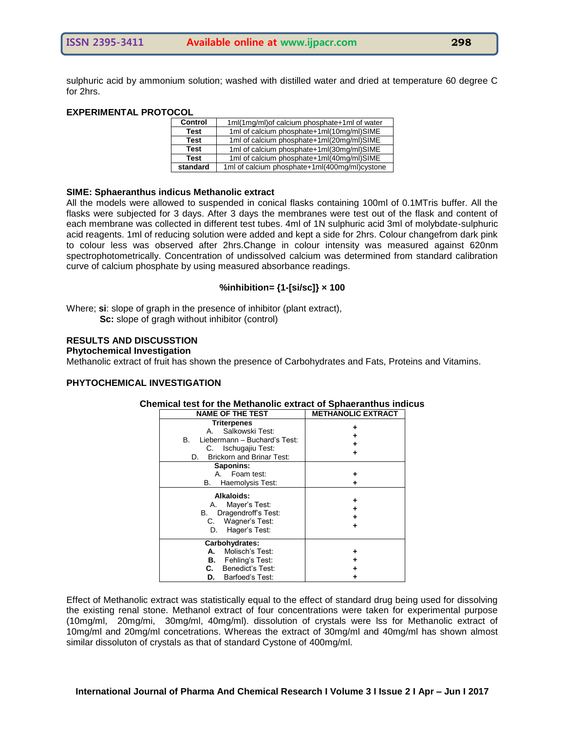sulphuric acid by ammonium solution; washed with distilled water and dried at temperature 60 degree C for 2hrs.

#### **EXPERIMENTAL PROTOCOL**

| <b>Control</b> | 1ml(1mg/ml) of calcium phosphate+1ml of water |
|----------------|-----------------------------------------------|
| <b>Test</b>    | 1ml of calcium phosphate+1ml(10mg/ml)SIME     |
| <b>Test</b>    | 1ml of calcium phosphate+1ml(20mg/ml)SIME     |
| <b>Test</b>    | 1ml of calcium phosphate+1ml(30mg/ml)SIME     |
| <b>Test</b>    | 1ml of calcium phosphate+1ml(40mg/ml)SIME     |
| standard       | 1ml of calcium phosphate+1ml(400mg/ml)cystone |

#### **SIME: Sphaeranthus indicus Methanolic extract**

All the models were allowed to suspended in conical flasks containing 100ml of 0.1MTris buffer. All the flasks were subjected for 3 days. After 3 days the membranes were test out of the flask and content of each membrane was collected in different test tubes. 4ml of 1N sulphuric acid 3ml of molybdate-sulphuric acid reagents. 1ml of reducing solution were added and kept a side for 2hrs. Colour changefrom dark pink to colour less was observed after 2hrs.Change in colour intensity was measured against 620nm spectrophotometrically. Concentration of undissolved calcium was determined from standard calibration curve of calcium phosphate by using measured absorbance readings.

#### **%inhibition= {1-[si/sc]} × 100**

Where; **si**: slope of graph in the presence of inhibitor (plant extract), **Sc:** slope of gragh without inhibitor (control)

#### **RESULTS AND DISCUSSTION**

#### **Phytochemical Investigation**

Methanolic extract of fruit has shown the presence of Carbohydrates and Fats, Proteins and Vitamins.

#### **PHYTOCHEMICAL INVESTIGATION**

| <b>NAME OF THE TEST</b>                                                                                                                                                                                    | <b>METHANOLIC EXTRACT</b> |  |
|------------------------------------------------------------------------------------------------------------------------------------------------------------------------------------------------------------|---------------------------|--|
| <b>Triterpenes</b><br>Salkowski Test:<br>Α.<br>Liebermann - Buchard's Test:<br>В.<br>C. Ischugajiu Test:<br><b>Brickorn and Brinar Test:</b><br>D.<br>Saponins:<br>A. Foam test:<br>Haemolysis Test:<br>В. |                           |  |
| Alkaloids:<br>Mayer's Test:<br>А.<br>Dragendroff's Test:<br>В.<br>C. Wagner's Test:<br>Hager's Test:<br>D.                                                                                                 |                           |  |
| Carbohydrates:<br>Molisch's Test:<br>А.<br>Fehling's Test:<br>В.<br>Benedict's Test:<br>C.<br>Barfoed's Test:<br>D.                                                                                        |                           |  |

#### **Chemical test for the Methanolic extract of Sphaeranthus indicus**

Effect of Methanolic extract was statistically equal to the effect of standard drug being used for dissolving the existing renal stone. Methanol extract of four concentrations were taken for experimental purpose (10mg/ml, 20mg/mi, 30mg/ml, 40mg/ml). dissolution of crystals were lss for Methanolic extract of 10mg/ml and 20mg/ml concetrations. Whereas the extract of 30mg/ml and 40mg/ml has shown almost similar dissoluton of crystals as that of standard Cystone of 400mg/ml.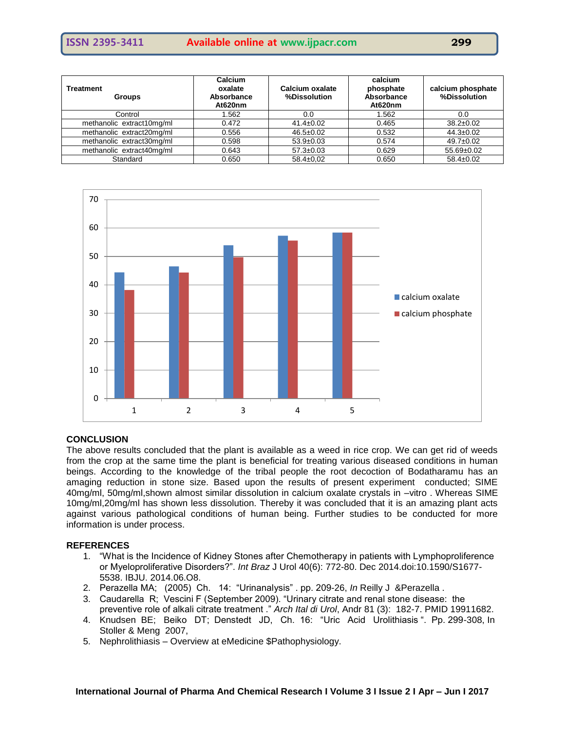**ISSN 2395-3411 Available online at www.ijpacr.com 299**

| Treatment<br><b>Groups</b> | <b>Calcium</b><br>oxalate<br>Absorbance<br>At620nm | Calcium oxalate<br>%Dissolution | calcium<br>phosphate<br>Absorbance<br>At620nm | calcium phosphate<br>%Dissolution |
|----------------------------|----------------------------------------------------|---------------------------------|-----------------------------------------------|-----------------------------------|
| Control                    | 1.562                                              | 0.0                             | 1.562                                         | 0.0                               |
| methanolic extract10mg/ml  | 0.472                                              | $41.4 \pm 0.02$                 | 0.465                                         | $38.2 \pm 0.02$                   |
| methanolic extract20mg/ml  | 0.556                                              | $46.5 \pm 0.02$                 | 0.532                                         | $44.3 \pm 0.02$                   |
| methanolic extract30mg/ml  | 0.598                                              | $53.9 \pm 0.03$                 | 0.574                                         | $49.7 \pm 0.02$                   |
| methanolic extract40mg/ml  | 0.643                                              | $57.3 \pm 0.03$                 | 0.629                                         | $55.69 \pm 0.02$                  |
| Standard                   | 0.650                                              | $58.4 \pm 0.02$                 | 0.650                                         | $58.4 \pm 0.02$                   |



#### **CONCLUSION**

The above results concluded that the plant is available as a weed in rice crop. We can get rid of weeds from the crop at the same time the plant is beneficial for treating various diseased conditions in human beings. According to the knowledge of the tribal people the root decoction of Bodatharamu has an amaging reduction in stone size. Based upon the results of present experiment conducted; SIME 40mg/ml, 50mg/ml,shown almost similar dissolution in calcium oxalate crystals in –vitro . Whereas SIME 10mg/ml,20mg/ml has shown less dissolution. Thereby it was concluded that it is an amazing plant acts against various pathological conditions of human being. Further studies to be conducted for more information is under process.

#### **REFERENCES**

- 1. "What is the Incidence of Kidney Stones after Chemotherapy in patients with Lymphoproliference or Myeloproliferative Disorders?‖. *Int Braz* J Urol 40(6): 772-80. Dec 2014.doi:10.1590/S1677- 5538. IBJU. 2014.06.O8.
- 2. Perazella MA; (2005) Ch. 14: "Urinanalysis" . pp. 209-26, *In* Reilly J & Perazella .
- 3. Caudarella R; Vescini F (September 2009). "Urinary citrate and renal stone disease: the preventive role of alkali citrate treatment ." Arch Ital di Urol, Andr 81 (3): 182-7. PMID 19911682.
- 4. Knudsen BE; Beiko DT; Denstedt JD, Ch. 16: "Uric Acid Urolithiasis ". Pp. 299-308, In Stoller & Meng 2007,
- 5. Nephrolithiasis Overview at eMedicine \$Pathophysiology.